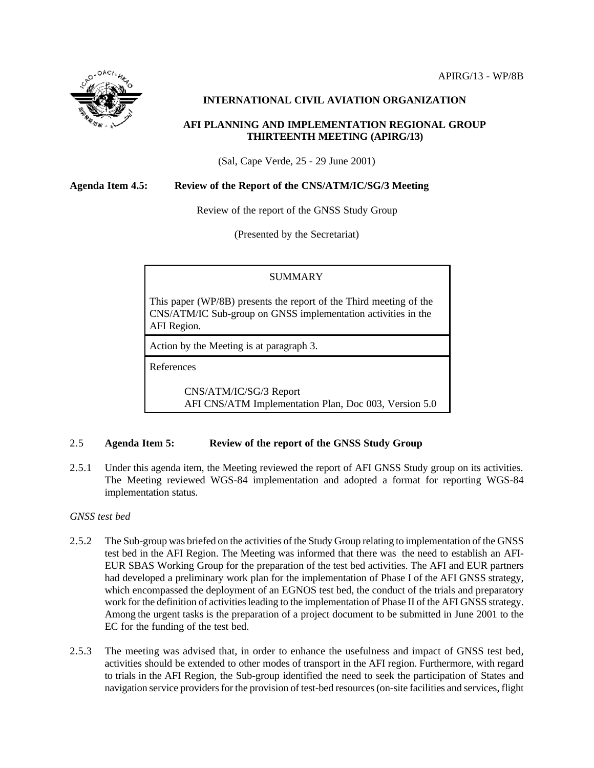

### **INTERNATIONAL CIVIL AVIATION ORGANIZATION**

### **AFI PLANNING AND IMPLEMENTATION REGIONAL GROUP THIRTEENTH MEETING (APIRG/13)**

(Sal, Cape Verde, 25 - 29 June 2001)

### **Agenda Item 4.5: Review of the Report of the CNS/ATM/IC/SG/3 Meeting**

Review of the report of the GNSS Study Group

(Presented by the Secretariat)

### SUMMARY

This paper (WP/8B) presents the report of the Third meeting of the CNS/ATM/IC Sub-group on GNSS implementation activities in the AFI Region.

Action by the Meeting is at paragraph 3.

References

CNS/ATM/IC/SG/3 Report AFI CNS/ATM Implementation Plan, Doc 003, Version 5.0

### 2.5 **Agenda Item 5: Review of the report of the GNSS Study Group**

2.5.1 Under this agenda item, the Meeting reviewed the report of AFI GNSS Study group on its activities. The Meeting reviewed WGS-84 implementation and adopted a format for reporting WGS-84 implementation status.

### *GNSS test bed*

- 2.5.2 The Sub-group was briefed on the activities of the Study Group relating to implementation of the GNSS test bed in the AFI Region. The Meeting was informed that there was the need to establish an AFI-EUR SBAS Working Group for the preparation of the test bed activities. The AFI and EUR partners had developed a preliminary work plan for the implementation of Phase I of the AFI GNSS strategy, which encompassed the deployment of an EGNOS test bed, the conduct of the trials and preparatory work for the definition of activities leading to the implementation of Phase II of the AFI GNSS strategy. Among the urgent tasks is the preparation of a project document to be submitted in June 2001 to the EC for the funding of the test bed.
- 2.5.3 The meeting was advised that, in order to enhance the usefulness and impact of GNSS test bed, activities should be extended to other modes of transport in the AFI region. Furthermore, with regard to trials in the AFI Region, the Sub-group identified the need to seek the participation of States and navigation service providers for the provision of test-bed resources (on-site facilities and services, flight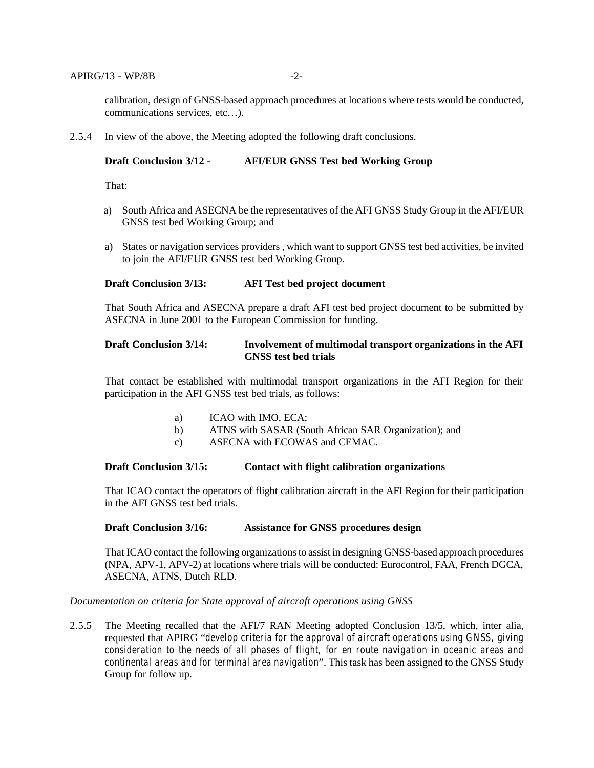calibration, design of GNSS-based approach procedures at locations where tests would be conducted, communications services, etc…).

2.5.4 In view of the above, the Meeting adopted the following draft conclusions.

#### **Draft Conclusion 3/12 - AFI/EUR GNSS Test bed Working Group**

That:

- a) South Africa and ASECNA be the representatives of the AFI GNSS Study Group in the AFI/EUR GNSS test bed Working Group; and
- a) States or navigation services providers , which want to support GNSS test bed activities, be invited to join the AFI/EUR GNSS test bed Working Group.

### **Draft Conclusion 3/13: AFI Test bed project document**

That South Africa and ASECNA prepare a draft AFI test bed project document to be submitted by ASECNA in June 2001 to the European Commission for funding.

### **Draft Conclusion 3/14: Involvement of multimodal transport organizations in the AFI GNSS test bed trials**

That contact be established with multimodal transport organizations in the AFI Region for their participation in the AFI GNSS test bed trials, as follows:

- a) ICAO with IMO, ECA;
- b) ATNS with SASAR (South African SAR Organization); and
- c) ASECNA with ECOWAS and CEMAC.

### **Draft Conclusion 3/15: Contact with flight calibration organizations**

That ICAO contact the operators of flight calibration aircraft in the AFI Region for their participation in the AFI GNSS test bed trials.

#### **Draft Conclusion 3/16: Assistance for GNSS procedures design**

That ICAO contact the following organizations to assist in designing GNSS-based approach procedures (NPA, APV-1, APV-2) at locations where trials will be conducted: Eurocontrol, FAA, French DGCA, ASECNA, ATNS, Dutch RLD.

#### *Documentation on criteria for State approval of aircraft operations using GNSS*

2.5.5 The Meeting recalled that the AFI/7 RAN Meeting adopted Conclusion 13/5, which, inter alia, requested that APIRG "*develop criteria for the approval of aircraft operations using GNSS, giving consideration to the needs of all phases of flight, for en route navigation in oceanic areas and continental areas and for terminal area navigation*". This task has been assigned to the GNSS Study Group for follow up.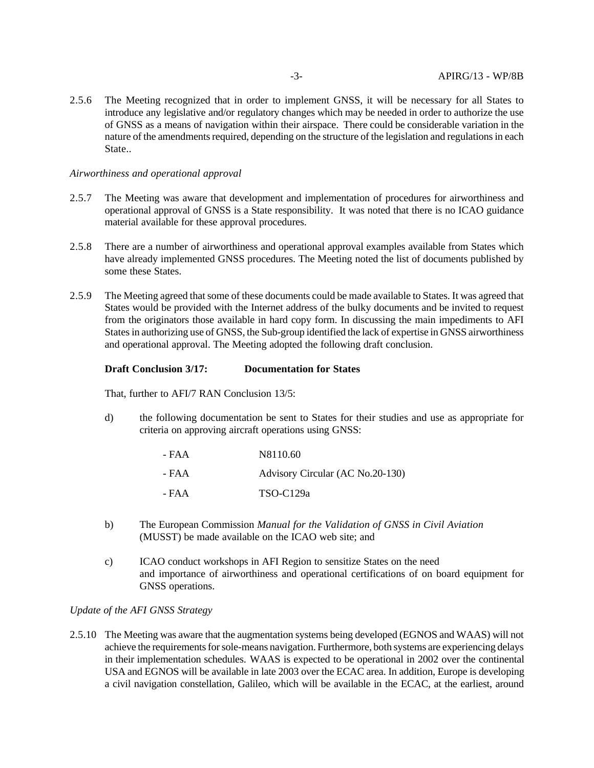2.5.6 The Meeting recognized that in order to implement GNSS, it will be necessary for all States to introduce any legislative and/or regulatory changes which may be needed in order to authorize the use of GNSS as a means of navigation within their airspace. There could be considerable variation in the nature of the amendments required, depending on the structure of the legislation and regulations in each State..

### *Airworthiness and operational approval*

- 2.5.7 The Meeting was aware that development and implementation of procedures for airworthiness and operational approval of GNSS is a State responsibility. It was noted that there is no ICAO guidance material available for these approval procedures.
- 2.5.8 There are a number of airworthiness and operational approval examples available from States which have already implemented GNSS procedures. The Meeting noted the list of documents published by some these States.
- 2.5.9 The Meeting agreed that some of these documents could be made available to States. It was agreed that States would be provided with the Internet address of the bulky documents and be invited to request from the originators those available in hard copy form. In discussing the main impediments to AFI States in authorizing use of GNSS, the Sub-group identified the lack of expertise in GNSS airworthiness and operational approval. The Meeting adopted the following draft conclusion.

### **Draft Conclusion 3/17: Documentation for States**

That, further to AFI/7 RAN Conclusion 13/5:

d) the following documentation be sent to States for their studies and use as appropriate for criteria on approving aircraft operations using GNSS:

| - FAA | N8110.60                         |
|-------|----------------------------------|
| - FAA | Advisory Circular (AC No.20-130) |
| - FAA | $TSO-C129a$                      |

- b) The European Commission *Manual for the Validation of GNSS in Civil Aviation* (MUSST) be made available on the ICAO web site; and
- c) ICAO conduct workshops in AFI Region to sensitize States on the need and importance of airworthiness and operational certifications of on board equipment for GNSS operations.

*Update of the AFI GNSS Strategy*

2.5.10 The Meeting was aware that the augmentation systems being developed (EGNOS and WAAS) will not achieve the requirements for sole-means navigation. Furthermore, both systems are experiencing delays in their implementation schedules. WAAS is expected to be operational in 2002 over the continental USA and EGNOS will be available in late 2003 over the ECAC area. In addition, Europe is developing a civil navigation constellation, Galileo, which will be available in the ECAC, at the earliest, around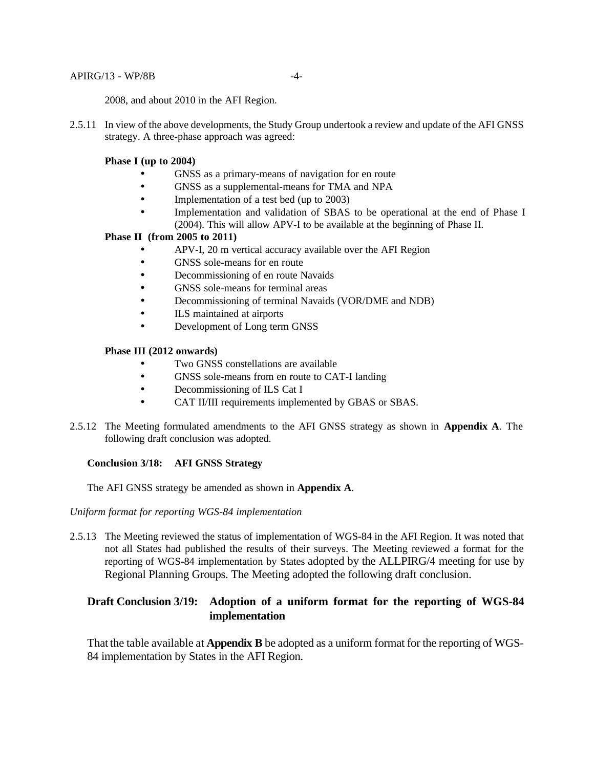#### APIRG/13 - WP/8B -4-

2008, and about 2010 in the AFI Region.

2.5.11 In view of the above developments, the Study Group undertook a review and update of the AFI GNSS strategy. A three-phase approach was agreed:

### **Phase I (up to 2004)**

- GNSS as a primary-means of navigation for en route
- GNSS as a supplemental-means for TMA and NPA
- Implementation of a test bed (up to 2003)
- Implementation and validation of SBAS to be operational at the end of Phase I (2004). This will allow APV-I to be available at the beginning of Phase II.

### **Phase II (from 2005 to 2011)**

- APV-I, 20 m vertical accuracy available over the AFI Region
- GNSS sole-means for en route
- Decommissioning of en route Navaids
- GNSS sole-means for terminal areas
- Decommissioning of terminal Navaids (VOR/DME and NDB)
- **ILS** maintained at airports
- Development of Long term GNSS

### **Phase III (2012 onwards)**

- Two GNSS constellations are available
- GNSS sole-means from en route to CAT-I landing
- Decommissioning of ILS Cat I
- CAT II/III requirements implemented by GBAS or SBAS.
- 2.5.12 The Meeting formulated amendments to the AFI GNSS strategy as shown in **Appendix A**. The following draft conclusion was adopted.

### **Conclusion 3/18: AFI GNSS Strategy**

The AFI GNSS strategy be amended as shown in **Appendix A**.

*Uniform format for reporting WGS-84 implementation*

2.5.13 The Meeting reviewed the status of implementation of WGS-84 in the AFI Region. It was noted that not all States had published the results of their surveys. The Meeting reviewed a format for the reporting of WGS-84 implementation by States adopted by the ALLPIRG/4 meeting for use by Regional Planning Groups. The Meeting adopted the following draft conclusion.

## **Draft Conclusion 3/19: Adoption of a uniform format for the reporting of WGS-84 implementation**

That the table available at **Appendix B** be adopted as a uniform format for the reporting of WGS-84 implementation by States in the AFI Region.